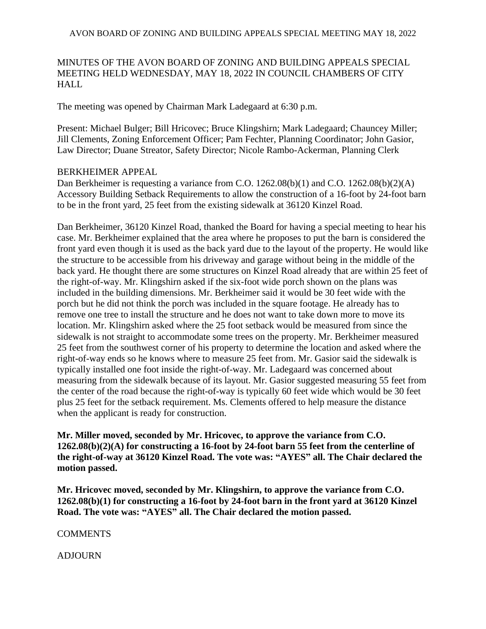## AVON BOARD OF ZONING AND BUILDING APPEALS SPECIAL MEETING MAY 18, 2022

## MINUTES OF THE AVON BOARD OF ZONING AND BUILDING APPEALS SPECIAL MEETING HELD WEDNESDAY, MAY 18, 2022 IN COUNCIL CHAMBERS OF CITY HALL

The meeting was opened by Chairman Mark Ladegaard at 6:30 p.m.

Present: Michael Bulger; Bill Hricovec; Bruce Klingshirn; Mark Ladegaard; Chauncey Miller; Jill Clements, Zoning Enforcement Officer; Pam Fechter, Planning Coordinator; John Gasior, Law Director; Duane Streator, Safety Director; Nicole Rambo-Ackerman, Planning Clerk

## BERKHEIMER APPEAL

Dan Berkheimer is requesting a variance from C.O. 1262.08(b)(1) and C.O. 1262.08(b)(2)(A) Accessory Building Setback Requirements to allow the construction of a 16-foot by 24-foot barn to be in the front yard, 25 feet from the existing sidewalk at 36120 Kinzel Road.

Dan Berkheimer, 36120 Kinzel Road, thanked the Board for having a special meeting to hear his case. Mr. Berkheimer explained that the area where he proposes to put the barn is considered the front yard even though it is used as the back yard due to the layout of the property. He would like the structure to be accessible from his driveway and garage without being in the middle of the back yard. He thought there are some structures on Kinzel Road already that are within 25 feet of the right-of-way. Mr. Klingshirn asked if the six-foot wide porch shown on the plans was included in the building dimensions. Mr. Berkheimer said it would be 30 feet wide with the porch but he did not think the porch was included in the square footage. He already has to remove one tree to install the structure and he does not want to take down more to move its location. Mr. Klingshirn asked where the 25 foot setback would be measured from since the sidewalk is not straight to accommodate some trees on the property. Mr. Berkheimer measured 25 feet from the southwest corner of his property to determine the location and asked where the right-of-way ends so he knows where to measure 25 feet from. Mr. Gasior said the sidewalk is typically installed one foot inside the right-of-way. Mr. Ladegaard was concerned about measuring from the sidewalk because of its layout. Mr. Gasior suggested measuring 55 feet from the center of the road because the right-of-way is typically 60 feet wide which would be 30 feet plus 25 feet for the setback requirement. Ms. Clements offered to help measure the distance when the applicant is ready for construction.

**Mr. Miller moved, seconded by Mr. Hricovec, to approve the variance from C.O. 1262.08(b)(2)(A) for constructing a 16-foot by 24-foot barn 55 feet from the centerline of the right-of-way at 36120 Kinzel Road. The vote was: "AYES" all. The Chair declared the motion passed.**

**Mr. Hricovec moved, seconded by Mr. Klingshirn, to approve the variance from C.O. 1262.08(b)(1) for constructing a 16-foot by 24-foot barn in the front yard at 36120 Kinzel Road. The vote was: "AYES" all. The Chair declared the motion passed.**

**COMMENTS** 

ADJOURN